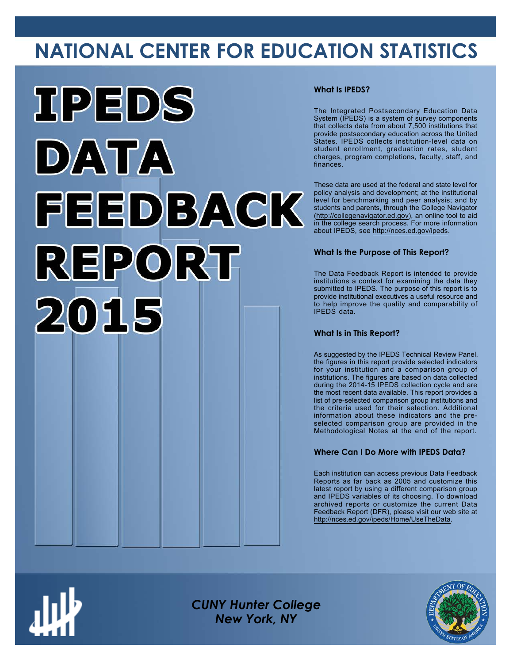# **NATIONAL CENTER FOR EDUCATION STATISTICS**



### **What Is IPEDS?**

The Integrated Postsecondary Education Data System (IPEDS) is a system of survey components that collects data from about 7,500 institutions that provide postsecondary education across the United States. IPEDS collects institution-level data on student enrollment, graduation rates, student charges, program completions, faculty, staff, and finances.

These data are used at the federal and state level for policy analysis and development; at the institutional level for benchmarking and peer analysis; and by students and parents, through the College Navigator ([http://collegenavigator.ed.gov\)](http://collegenavigator.ed.gov), an online tool to aid in the college search process. For more information about IPEDS, see [http://nces.ed.gov/ipeds.](http://nces.ed.gov/ipeds)

### **What Is the Purpose of This Report?**

The Data Feedback Report is intended to provide institutions a context for examining the data they submitted to IPEDS. The purpose of this report is to provide institutional executives a useful resource and to help improve the quality and comparability of IPEDS data.

### **What Is in This Report?**

As suggested by the IPEDS Technical Review Panel, the figures in this report provide selected indicators for your institution and a comparison group of institutions. The figures are based on data collected during the 2014-15 IPEDS collection cycle and are the most recent data available. This report provides a list of pre-selected comparison group institutions and the criteria used for their selection. Additional information about these indicators and the preselected comparison group are provided in the Methodological Notes at the end of the report.

### **Where Can I Do More with IPEDS Data?**

Each institution can access previous Data Feedback Reports as far back as 2005 and customize this latest report by using a different comparison group and IPEDS variables of its choosing. To download archived reports or customize the current Data Feedback Report (DFR), please visit our web site at [http://nces.ed.gov/ipeds/Home/UseTheData.](http://nces.ed.gov/ipeds/Home/UseTheData)



*CUNY Hunter College New York, NY*

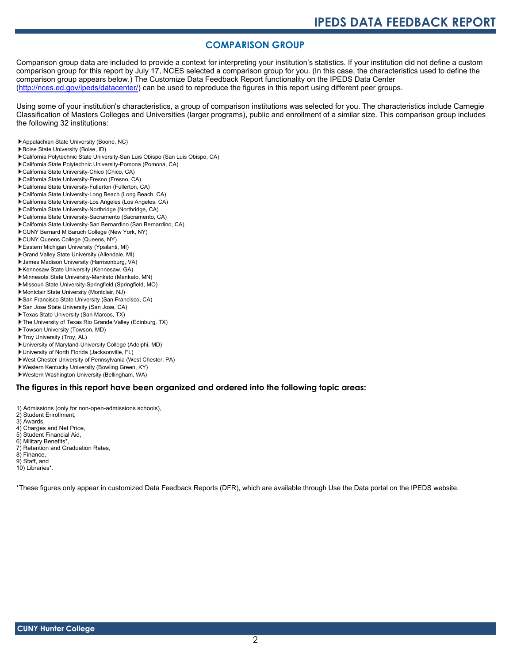### **COMPARISON GROUP**

Comparison group data are included to provide a context for interpreting your institution's statistics. If your institution did not define a custom comparison group for this report by July 17, NCES selected a comparison group for you. (In this case, the characteristics used to define the comparison group appears below.) The Customize Data Feedback Report functionality on the IPEDS Data Center [\(http://nces.ed.gov/ipeds/datacenter/\)](http://nces.ed.gov/ipeds/datacenter/) can be used to reproduce the figures in this report using different peer groups.

Using some of your institution's characteristics, a group of comparison institutions was selected for you. The characteristics include Carnegie Classification of Masters Colleges and Universities (larger programs), public and enrollment of a similar size. This comparison group includes the following 32 institutions:

- Appalachian State University (Boone, NC)
- Boise State University (Boise, ID)
- California Polytechnic State University-San Luis Obispo (San Luis Obispo, CA)
- California State Polytechnic University-Pomona (Pomona, CA)
- California State University-Chico (Chico, CA)
- California State University-Fresno (Fresno, CA)
- California State University-Fullerton (Fullerton, CA)
- California State University-Long Beach (Long Beach, CA)
- California State University-Los Angeles (Los Angeles, CA)
- California State University-Northridge (Northridge, CA)
- California State University-Sacramento (Sacramento, CA)
- California State University-San Bernardino (San Bernardino, CA)
- CUNY Bernard M Baruch College (New York, NY)
- CUNY Queens College (Queens, NY)
- Eastern Michigan University (Ypsilanti, MI)
- Grand Valley State University (Allendale, MI)
- James Madison University (Harrisonburg, VA)
- Kennesaw State University (Kennesaw, GA)
- Minnesota State University-Mankato (Mankato, MN)
- Missouri State University-Springfield (Springfield, MO)
- Montclair State University (Montclair, NJ)
- San Francisco State University (San Francisco, CA) San Jose State University (San Jose, CA)
- 
- Texas State University (San Marcos, TX)
- The University of Texas Rio Grande Valley (Edinburg, TX)
- Towson University (Towson, MD)
- Troy University (Troy, AL)
- University of Maryland-University College (Adelphi, MD)
- University of North Florida (Jacksonville, FL)
- West Chester University of Pennsylvania (West Chester, PA)
- Western Kentucky University (Bowling Green, KY)
- Western Washington University (Bellingham, WA)

#### **The figures in this report have been organized and ordered into the following topic areas:**

- 1) Admissions (only for non-open-admissions schools),
- 2) Student Enrollment,
- 3) Awards,
- 4) Charges and Net Price,
- 5) Student Financial Aid,
- 6) Military Benefits\*,
- 7) Retention and Graduation Rates,
- 8) Finance,
- 9) Staff, and
- 10) Libraries\*.

\*These figures only appear in customized Data Feedback Reports (DFR), which are available through Use the Data portal on the IPEDS website.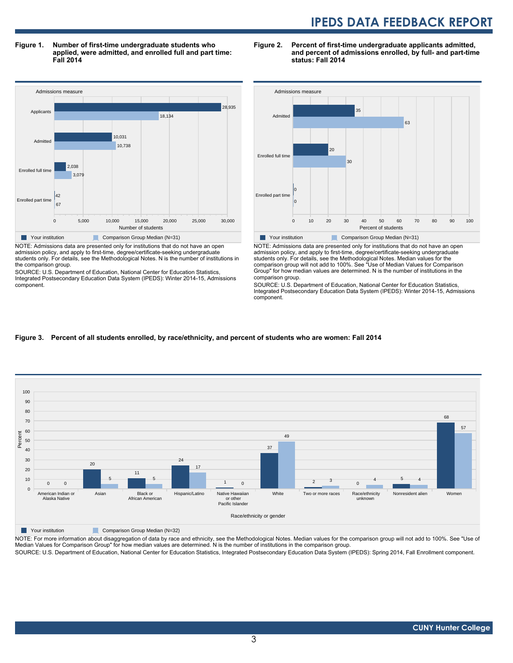**Figure 1. Number of first-time undergraduate students who applied, were admitted, and enrolled full and part time: Fall 2014**



NOTE: Admissions data are presented only for institutions that do not have an open admission policy, and apply to first-time, degree/certificate-seeking undergraduate students only. For details, see the Methodological Notes. N is the number of institutions in the comparison group.

SOURCE: U.S. Department of Education, National Center for Education Statistics, Integrated Postsecondary Education Data System (IPEDS): Winter 2014-15, Admissions component.





NOTE: Admissions data are presented only for institutions that do not have an open admission policy, and apply to first-time, degree/certificate-seeking undergraduate students only. For details, see the Methodological Notes. Median values for the comparison group will not add to 100%. See "Use of Median Values for Comparison Group" for how median values are determined. N is the number of institutions in the comparison group.

SOURCE: U.S. Department of Education, National Center for Education Statistics, Integrated Postsecondary Education Data System (IPEDS): Winter 2014-15, Admissions component.

#### **Figure 3. Percent of all students enrolled, by race/ethnicity, and percent of students who are women: Fall 2014**



Your institution Comparison Group Median (N=32)

NOTE: For more information about disaggregation of data by race and ethnicity, see the Methodological Notes. Median values for the comparison group will not add to 100%. See "Use of Median Values for Comparison Group" for how median values are determined. N is the number of institutions in the comparison group.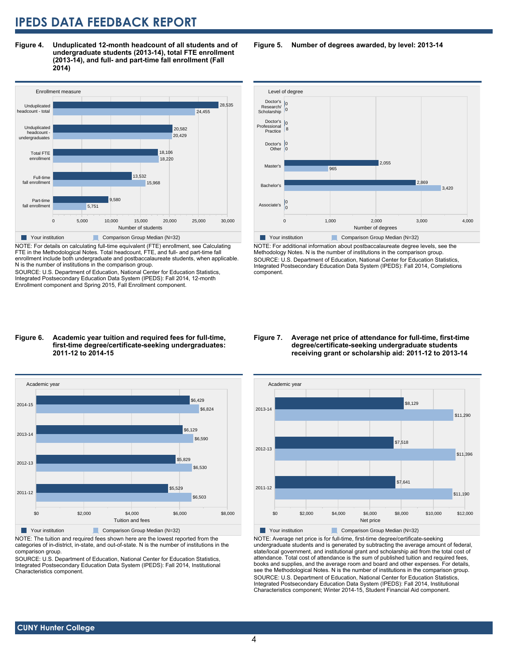**Figure 4. Unduplicated 12-month headcount of all students and of undergraduate students (2013-14), total FTE enrollment (2013-14), and full- and part-time fall enrollment (Fall 2014)**



NOTE: For details on calculating full-time equivalent (FTE) enrollment, see Calculating FTE in the Methodological Notes. Total headcount, FTE, and full- and part-time fall enrollment include both undergraduate and postbaccalaureate students, when applicable. N is the number of institutions in the comparison group.

SOURCE: U.S. Department of Education, National Center for Education Statistics, Integrated Postsecondary Education Data System (IPEDS): Fall 2014, 12-month Enrollment component and Spring 2015, Fall Enrollment component.

#### Level of degree 0 1,000 2,000 3,000 4,000 Number of degrees Associate's Bach Master's Doctor's **Other** Doctor's Professional Practice Doctor's 0 Research/ **Scholarship** 0 0  $3,420$ 2,869 965 2.055  $\overline{0}$ 0 8 0 0 Your institution Comparison Group Median (N=32)

NOTE: For additional information about postbaccalaureate degree levels, see the Methodology Notes. N is the number of institutions in the comparison group. SOURCE: U.S. Department of Education, National Center for Education Statistics, Integrated Postsecondary Education Data System (IPEDS): Fall 2014, Completions component.

#### **Figure 6. Academic year tuition and required fees for full-time, first-time degree/certificate-seeking undergraduates: 2011-12 to 2014-15**



NOTE: The tuition and required fees shown here are the lowest reported from the categories of in-district, in-state, and out-of-state. N is the number of institutions in the comparison group.

SOURCE: U.S. Department of Education, National Center for Education Statistics, Integrated Postsecondary Education Data System (IPEDS): Fall 2014, Institutional Characteristics component.

#### **Figure 7. Average net price of attendance for full-time, first-time degree/certificate-seeking undergraduate students receiving grant or scholarship aid: 2011-12 to 2013-14**



NOTE: Average net price is for full-time, first-time degree/certificate-seeking undergraduate students and is generated by subtracting the average amount of federal, state/local government, and institutional grant and scholarship aid from the total cost of attendance. Total cost of attendance is the sum of published tuition and required fees, books and supplies, and the average room and board and other expenses. For details, see the Methodological Notes. N is the number of institutions in the comparison group. SOURCE: U.S. Department of Education, National Center for Education Statistics, Integrated Postsecondary Education Data System (IPEDS): Fall 2014, Institutional Characteristics component; Winter 2014-15, Student Financial Aid component.

### **Figure 5. Number of degrees awarded, by level: 2013-14**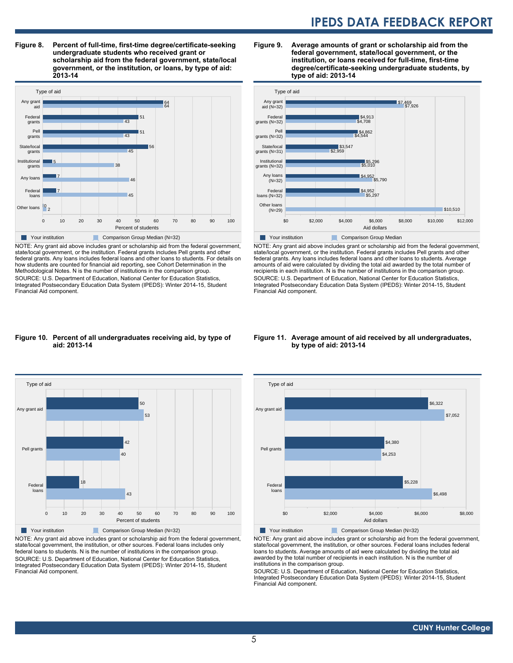**Figure 8. Percent of full-time, first-time degree/certificate-seeking undergraduate students who received grant or scholarship aid from the federal government, state/local government, or the institution, or loans, by type of aid: 2013-14**



NOTE: Any grant aid above includes grant or scholarship aid from the federal government, state/local government, or the institution. Federal grants includes Pell grants and other federal grants. Any loans includes federal loans and other loans to students. For details on how students are counted for financial aid reporting, see Cohort Determination in the Methodological Notes. N is the number of institutions in the comparison group. SOURCE: U.S. Department of Education, National Center for Education Statistics, Integrated Postsecondary Education Data System (IPEDS): Winter 2014-15, Student Financial Aid component.

#### **Figure 9. Average amounts of grant or scholarship aid from the federal government, state/local government, or the institution, or loans received for full-time, first-time degree/certificate-seeking undergraduate students, by type of aid: 2013-14**



NOTE: Any grant aid above includes grant or scholarship aid from the federal government, state/local government, or the institution. Federal grants includes Pell grants and other federal grants. Any loans includes federal loans and other loans to students. Average amounts of aid were calculated by dividing the total aid awarded by the total number of recipients in each institution. N is the number of institutions in the comparison group. SOURCE: U.S. Department of Education, National Center for Education Statistics, Integrated Postsecondary Education Data System (IPEDS): Winter 2014-15, Student Financial Aid component.

#### **Figure 10. Percent of all undergraduates receiving aid, by type of aid: 2013-14**



NOTE: Any grant aid above includes grant or scholarship aid from the federal government, state/local government, the institution, or other sources. Federal loans includes only federal loans to students. N is the number of institutions in the comparison group. SOURCE: U.S. Department of Education, National Center for Education Statistics, Integrated Postsecondary Education Data System (IPEDS): Winter 2014-15, Student Financial Aid component.

#### **Figure 11. Average amount of aid received by all undergraduates, by type of aid: 2013-14**



NOTE: Any grant aid above includes grant or scholarship aid from the federal government, state/local government, the institution, or other sources. Federal loans includes federal loans to students. Average amounts of aid were calculated by dividing the total aid awarded by the total number of recipients in each institution. N is the number of institutions in the comparison group.

SOURCE: U.S. Department of Education, National Center for Education Statistics, Integrated Postsecondary Education Data System (IPEDS): Winter 2014-15, Student Financial Aid component.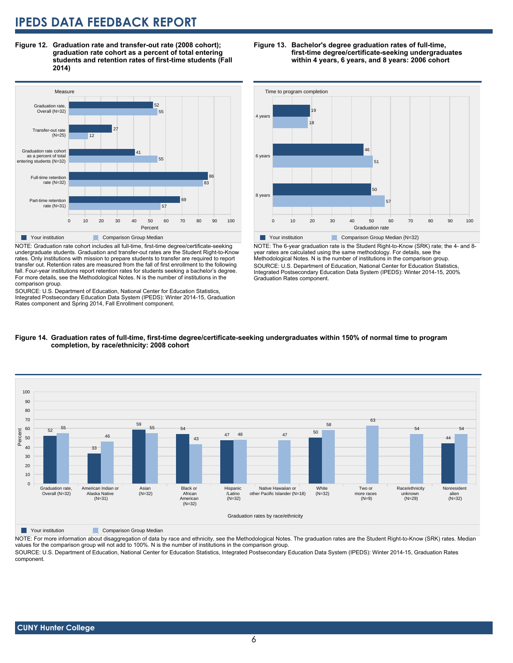**Figure 12. Graduation rate and transfer-out rate (2008 cohort); graduation rate cohort as a percent of total entering students and retention rates of first-time students (Fall 2014)**



NOTE: Graduation rate cohort includes all full-time, first-time degree/certificate-seeking undergraduate students. Graduation and transfer-out rates are the Student Right-to-Know rates. Only institutions with mission to prepare students to transfer are required to report transfer out. Retention rates are measured from the fall of first enrollment to the following fall. Four-year institutions report retention rates for students seeking a bachelor's degree. For more details, see the Methodological Notes. N is the number of institutions in the comparison group.

SOURCE: U.S. Department of Education, National Center for Education Statistics, Integrated Postsecondary Education Data System (IPEDS): Winter 2014-15, Graduation Rates component and Spring 2014, Fall Enrollment component.

#### **Figure 13. Bachelor's degree graduation rates of full-time, first-time degree/certificate-seeking undergraduates within 4 years, 6 years, and 8 years: 2006 cohort**



NOTE: The 6-year graduation rate is the Student Right-to-Know (SRK) rate; the 4- and 8 year rates are calculated using the same methodology. For details, see the Methodological Notes. N is the number of institutions in the comparison group. SOURCE: U.S. Department of Education, National Center for Education Statistics, Integrated Postsecondary Education Data System (IPEDS): Winter 2014-15, 200% Graduation Rates component.





**Table Your institution** Comparison Group Median

NOTE: For more information about disaggregation of data by race and ethnicity, see the Methodological Notes. The graduation rates are the Student Right-to-Know (SRK) rates. Median values for the comparison group will not add to 100%. N is the number of institutions in the comparison group.

SOURCE: U.S. Department of Education, National Center for Education Statistics, Integrated Postsecondary Education Data System (IPEDS): Winter 2014-15, Graduation Rates component.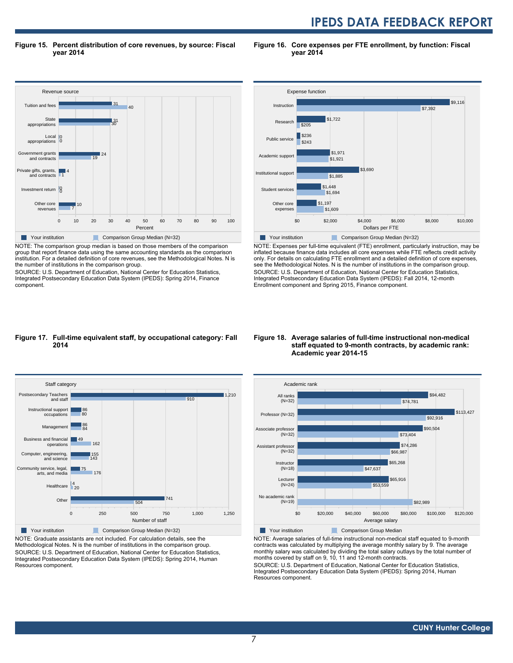**Figure 15. Percent distribution of core revenues, by source: Fiscal year 2014**

**Figure 16. Core expenses per FTE enrollment, by function: Fiscal year 2014**



NOTE: The comparison group median is based on those members of the comparison group that report finance data using the same accounting standards as the comparison institution. For a detailed definition of core revenues, see the Methodological Notes. N is the number of institutions in the comparison group.

SOURCE: U.S. Department of Education, National Center for Education Statistics, Integrated Postsecondary Education Data System (IPEDS): Spring 2014, Finance component.



NOTE: Expenses per full-time equivalent (FTE) enrollment, particularly instruction, may be inflated because finance data includes all core expenses while FTE reflects credit activity only. For details on calculating FTE enrollment and a detailed definition of core expenses, see the Methodological Notes. N is the number of institutions in the comparison group. SOURCE: U.S. Department of Education, National Center for Education Statistics, Integrated Postsecondary Education Data System (IPEDS): Fall 2014, 12-month Enrollment component and Spring 2015, Finance component.

#### **Figure 17. Full-time equivalent staff, by occupational category: Fall 2014**



NOTE: Graduate assistants are not included. For calculation details, see the Methodological Notes. N is the number of institutions in the comparison group. SOURCE: U.S. Department of Education, National Center for Education Statistics, Integrated Postsecondary Education Data System (IPEDS): Spring 2014, Human Resources component.

#### **Figure 18. Average salaries of full-time instructional non-medical staff equated to 9-month contracts, by academic rank: Academic year 2014-15**



NOTE: Average salaries of full-time instructional non-medical staff equated to 9-month contracts was calculated by multiplying the average monthly salary by 9. The average monthly salary was calculated by dividing the total salary outlays by the total number of months covered by staff on 9, 10, 11 and 12-month contracts.

SOURCE: U.S. Department of Education, National Center for Education Statistics, Integrated Postsecondary Education Data System (IPEDS): Spring 2014, Human Resources component.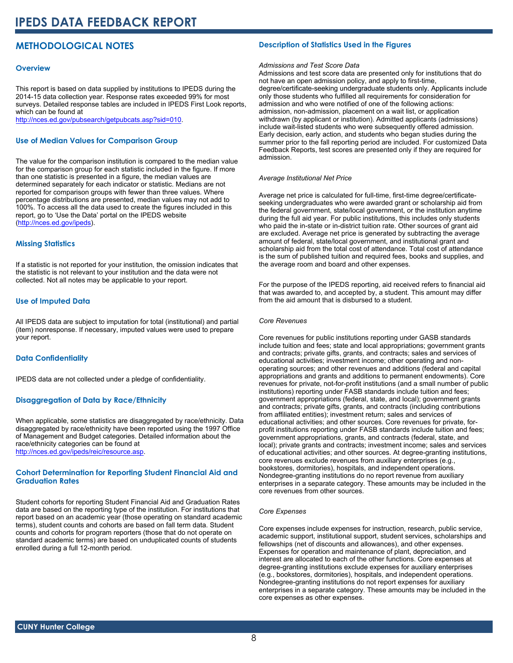## **METHODOLOGICAL NOTES**

#### **Overview**

This report is based on data supplied by institutions to IPEDS during the 2014-15 data collection year. Response rates exceeded 99% for most surveys. Detailed response tables are included in IPEDS First Look reports, which can be found at [http://nces.ed.gov/pubsearch/getpubcats.asp?sid=010.](http://nces.ed.gov/pubsearch/getpubcats.asp?sid=010)

#### **Use of Median Values for Comparison Group**

The value for the comparison institution is compared to the median value for the comparison group for each statistic included in the figure. If more than one statistic is presented in a figure, the median values are determined separately for each indicator or statistic. Medians are not reported for comparison groups with fewer than three values. Where percentage distributions are presented, median values may not add to 100%. To access all the data used to create the figures included in this report, go to 'Use the Data' portal on the IPEDS website ([http://nces.ed.gov/ipeds\)](http://nces.ed.gov/ipeds).

#### **Missing Statistics**

If a statistic is not reported for your institution, the omission indicates that the statistic is not relevant to your institution and the data were not collected. Not all notes may be applicable to your report.

#### **Use of Imputed Data**

All IPEDS data are subject to imputation for total (institutional) and partial (item) nonresponse. If necessary, imputed values were used to prepare your report.

#### **Data Confidentiality**

IPEDS data are not collected under a pledge of confidentiality.

#### **Disaggregation of Data by Race/Ethnicity**

When applicable, some statistics are disaggregated by race/ethnicity. Data disaggregated by race/ethnicity have been reported using the 1997 Office of Management and Budget categories. Detailed information about the race/ethnicity categories can be found at <http://nces.ed.gov/ipeds/reic/resource.asp>.

#### **Cohort Determination for Reporting Student Financial Aid and Graduation Rates**

Student cohorts for reporting Student Financial Aid and Graduation Rates data are based on the reporting type of the institution. For institutions that report based on an academic year (those operating on standard academic terms), student counts and cohorts are based on fall term data. Student counts and cohorts for program reporters (those that do not operate on standard academic terms) are based on unduplicated counts of students enrolled during a full 12-month period.

#### **Description of Statistics Used in the Figures**

#### *Admissions and Test Score Data*

Admissions and test score data are presented only for institutions that do not have an open admission policy, and apply to first-time, degree/certificate-seeking undergraduate students only. Applicants include only those students who fulfilled all requirements for consideration for admission and who were notified of one of the following actions: admission, non-admission, placement on a wait list, or application withdrawn (by applicant or institution). Admitted applicants (admissions) include wait-listed students who were subsequently offered admission. Early decision, early action, and students who began studies during the summer prior to the fall reporting period are included. For customized Data Feedback Reports, test scores are presented only if they are required for admission.

#### *Average Institutional Net Price*

Average net price is calculated for full-time, first-time degree/certificateseeking undergraduates who were awarded grant or scholarship aid from the federal government, state/local government, or the institution anytime during the full aid year. For public institutions, this includes only students who paid the in-state or in-district tuition rate. Other sources of grant aid are excluded. Average net price is generated by subtracting the average amount of federal, state/local government, and institutional grant and scholarship aid from the total cost of attendance. Total cost of attendance is the sum of published tuition and required fees, books and supplies, and the average room and board and other expenses.

For the purpose of the IPEDS reporting, aid received refers to financial aid that was awarded to, and accepted by, a student. This amount may differ from the aid amount that is disbursed to a student.

#### *Core Revenues*

Core revenues for public institutions reporting under GASB standards include tuition and fees; state and local appropriations; government grants and contracts; private gifts, grants, and contracts; sales and services of educational activities; investment income; other operating and nonoperating sources; and other revenues and additions (federal and capital appropriations and grants and additions to permanent endowments). Core revenues for private, not-for-profit institutions (and a small number of public institutions) reporting under FASB standards include tuition and fees; government appropriations (federal, state, and local); government grants and contracts; private gifts, grants, and contracts (including contributions from affiliated entities); investment return; sales and services of educational activities; and other sources. Core revenues for private, forprofit institutions reporting under FASB standards include tuition and fees; government appropriations, grants, and contracts (federal, state, and local); private grants and contracts; investment income; sales and services of educational activities; and other sources. At degree-granting institutions, core revenues exclude revenues from auxiliary enterprises (e.g., bookstores, dormitories), hospitals, and independent operations. Nondegree-granting institutions do no report revenue from auxiliary enterprises in a separate category. These amounts may be included in the core revenues from other sources.

#### *Core Expenses*

Core expenses include expenses for instruction, research, public service, academic support, institutional support, student services, scholarships and fellowships (net of discounts and allowances), and other expenses. Expenses for operation and maintenance of plant, depreciation, and interest are allocated to each of the other functions. Core expenses at degree-granting institutions exclude expenses for auxiliary enterprises (e.g., bookstores, dormitories), hospitals, and independent operations. Nondegree-granting institutions do not report expenses for auxiliary enterprises in a separate category. These amounts may be included in the core expenses as other expenses.